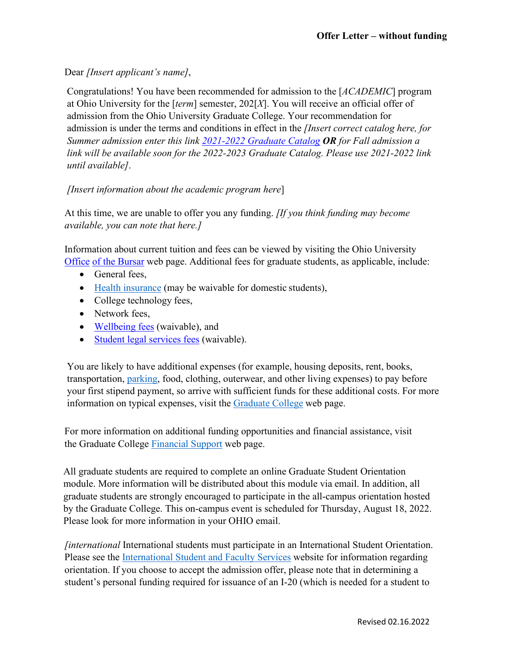Dear *[Insert applicant's name]*,

Congratulations! You have been recommended for admission to the [*ACADEMIC*] program at Ohio University for the [*term*] semester, 202[*X*]. You will receive an official offer of admission from the Ohio University Graduate College. Your recommendation for admission is under the terms and conditions in effect in the *[Insert correct catalog here, for Summer admission enter this link [2021-2022 Graduate Catalog](https://www.catalogs.ohio.edu/index.php?catoid=71) OR for Fall admission a link will be available soon for the 2022-2023 Graduate Catalog. Please use 2021-2022 link until available]*.

## *[Insert information about the academic program here*]

At this time, we are unable to offer you any funding. *[If you think funding may become available, you can note that here.]*

Information about current tuition and fees can be viewed by visiting the Ohio University [Office](https://www.ohio.edu/bursar/graduate-tuition) [of the Bursar](https://www.ohio.edu/graduate/prospective-students/tuition) web [page. A](https://www.ohio.edu/bursar/graduate-tuition.cfm)dditional fees for graduate students, as applicable, include:

- General fees,
- [Health insurance](https://www.ohio.edu/student-insurance/) (may be waivable for domestic students),
- College technology fees,
- Network fees,
- [Wellbeing fees](https://www.ohio.edu/student-affairs/wellbeing) (waivable), and
- [Student legal services fees](https://www.studentlegalrights.org/) (waivable).

You are likely to have additional expenses (for example, housing deposits, rent, books, transportation, [parking, f](https://www.ohio.edu/parking/index.cfm)ood, clothing, outerwear, and other living expenses) to pay before your first stipend payment, so arrive with sufficient funds for these additional costs. For more information on typical expenses, visit the [Graduate College](https://www.ohio.edu/graduate/prospective-students/tuition) web page.

For more information on additional funding opportunities and financial assistance, visit the Graduate College [Financial Support](https://www.ohio.edu/graduate/prospective-students/financial-support) web page.

All graduate students are required to complete an online Graduate Student Orientation module. More information will be distributed about this module via email. In addition, all graduate students are strongly encouraged to participate in the all-campus orientation hosted by the Graduate College. This on-campus event is scheduled for Thursday, August 18, 2022. Please look for more information in your OHIO email.

*[international* International students must participate in an International Student Orientation. Please see the [International Student and Faculty Services](https://www.ohio.edu/global/isfs/index.cfm) website for information regarding orientation. If you choose to accept the admission offer, please note that in determining a student's personal funding required for issuance of an I-20 (which is needed for a student to